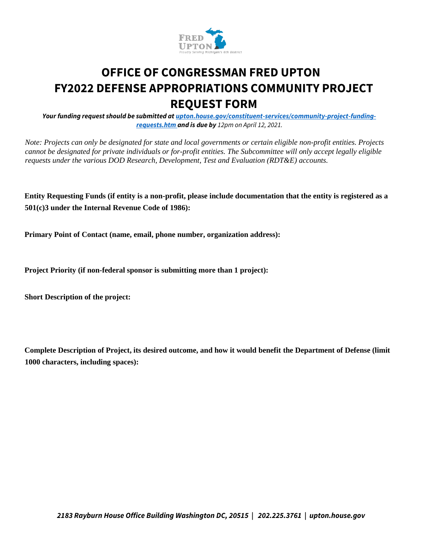

## **OFFICE OF CONGRESSMAN FRED UPTON FY2022 DEFENSE APPROPRIATIONS COMMUNITY PROJECT REQUEST FORM**

*Your funding request should be submitted at upton.house.gov/constituent-services/community-project-fundingrequests.htm and is due by 12pm on April 12, 2021.*

*Note: Projects can only be designated for state and local governments or certain eligible non-profit entities. Projects cannot be designated for private individuals or for-profit entities. The Subcommittee will only accept legally eligible requests under the various DOD Research, Development, Test and Evaluation (RDT&E) accounts.* 

**Entity Requesting Funds (if entity is a non-profit, please include documentation that the entity is registered as a 501(c)3 under the Internal Revenue Code of 1986):** 

**Primary Point of Contact (name, email, phone number, organization address):** 

**Project Priority (if non-federal sponsor is submitting more than 1 project):** 

**Short Description of the project:** 

**Complete Description of Project, its desired outcome, and how it would benefit the Department of Defense (limit 1000 characters, including spaces):**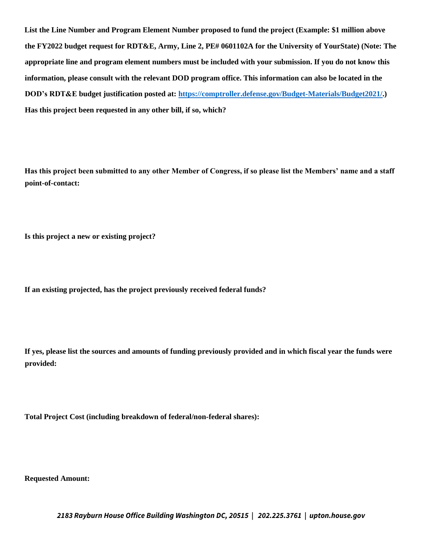**List the Line Number and Program Element Number proposed to fund the project (Example: \$1 million above the FY2022 budget request for RDT&E, Army, Line 2, PE# 0601102A for the University of YourState) (Note: The appropriate line and program element numbers must be included with your submission. If you do not know this information, please consult with the relevant DOD program office. This information can also be located in the DOD's RDT&E budget justification posted at: https://comptroller.defense.gov/Budget-Materials/Budget2021/.) Has this project been requested in any other bill, if so, which?** 

**Has this project been submitted to any other Member of Congress, if so please list the Members' name and a staff point-of-contact:** 

**Is this project a new or existing project?** 

**If an existing projected, has the project previously received federal funds?** 

**If yes, please list the sources and amounts of funding previously provided and in which fiscal year the funds were provided:** 

**Total Project Cost (including breakdown of federal/non-federal shares):** 

**Requested Amount:** 

*2183 Rayburn House Office Building Washington DC, 20515 | 202.225.3761 | upton.house.gov*